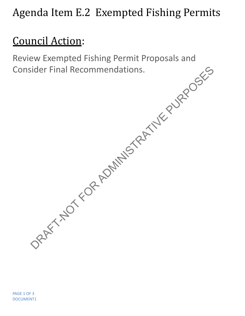## Agenda Item E.2 Exempted Fishing Permits

## Council Action:

Review Exempted Fishing Permit Proposals and Consider Final Recommendations.<br>
Consider Final Recommendations.<br>
ORAFT-NOT FOR ADMINISTRATIVE PURPOSES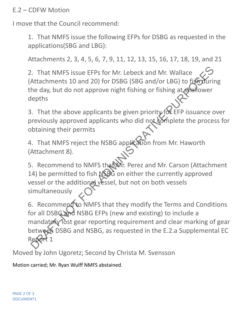## E.2 – CDFW Motion

I move that the Council recommend:

1. That NMFS issue the following EFPs for DSBG as requested in the applications(SBG and LBG):

Attachments 2, 3, 4, 5, 6, 7, 9, 11, 12, 13, 15, 16, 17, 18, 19, and 21

2. That NMFS issue EFPs for Mr. Lebeck and Mr. Wallace (Attachments 10 and 20) for DSBG (SBG and/or LBG) to fish during the day, but do not approve night fishing or fishing at shallower depths

3. That the above applicants be given priority for EFP issuance over previously approved applicants who did not complete the process for obtaining their permits

4. That NMFS reject the NSBG application from Mr. Haworth (Attachment 8).

5. Recommend to NMFS that Mr. Perez and Mr. Carson (Attachment 14) be permitted to fish NSBG on either the currently approved vessel or the additional vessel, but not on both vessels simultaneously

6. Recommend to NMFS that they modify the Terms and Conditions for all DSBG and NSBG EFPs (new and existing) to include a mandatory lost gear reporting requirement and clear marking of gear between DSBG and NSBG, as requested in the E.2.a Supplemental EC Report 1 Example 12 and Note of The Terms and Conditions<br>
2. That NMFS issue EFPs for Mr. Lebeck and Mr. Wallace<br>
Attachments 10 and 20) for DSBG (SBG and/or LBG) to figniturin<br>
the day, but do not approve night fishing or fishing

Moved by John Ugoretz; Second by Christa M. Svensson

Motion carried; Mr. Ryan Wulff NMFS abstained.